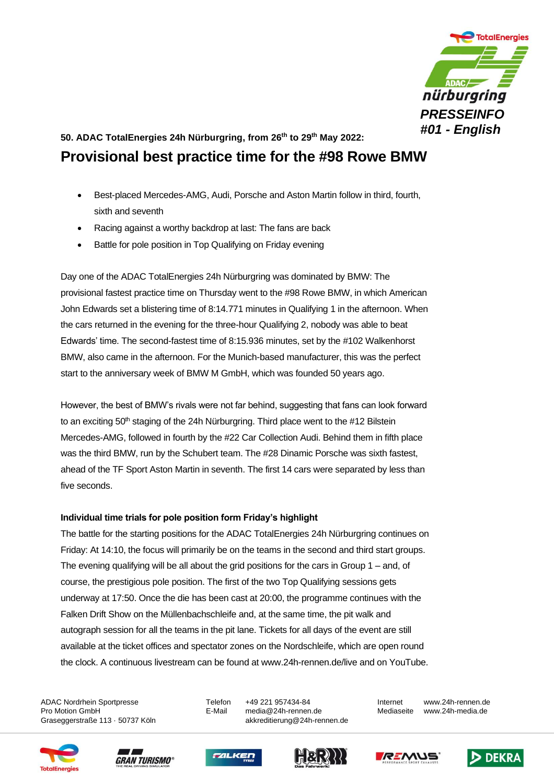

## **50. ADAC TotalEnergies 24h Nürburgring, from 26th to 29th May 2022: Provisional best practice time for the #98 Rowe BMW**

- Best-placed Mercedes-AMG, Audi, Porsche and Aston Martin follow in third, fourth, sixth and seventh
- Racing against a worthy backdrop at last: The fans are back
- Battle for pole position in Top Qualifying on Friday evening

Day one of the ADAC TotalEnergies 24h Nürburgring was dominated by BMW: The provisional fastest practice time on Thursday went to the #98 Rowe BMW, in which American John Edwards set a blistering time of 8:14.771 minutes in Qualifying 1 in the afternoon. When the cars returned in the evening for the three-hour Qualifying 2, nobody was able to beat Edwards' time. The second-fastest time of 8:15.936 minutes, set by the #102 Walkenhorst BMW, also came in the afternoon. For the Munich-based manufacturer, this was the perfect start to the anniversary week of BMW M GmbH, which was founded 50 years ago.

However, the best of BMW's rivals were not far behind, suggesting that fans can look forward to an exciting 50<sup>th</sup> staging of the 24h Nürburgring. Third place went to the #12 Bilstein Mercedes-AMG, followed in fourth by the #22 Car Collection Audi. Behind them in fifth place was the third BMW, run by the Schubert team. The #28 Dinamic Porsche was sixth fastest, ahead of the TF Sport Aston Martin in seventh. The first 14 cars were separated by less than five seconds.

## **Individual time trials for pole position form Friday's highlight**

The battle for the starting positions for the ADAC TotalEnergies 24h Nürburgring continues on Friday: At 14:10, the focus will primarily be on the teams in the second and third start groups. The evening qualifying will be all about the grid positions for the cars in Group 1 – and, of course, the prestigious pole position. The first of the two Top Qualifying sessions gets underway at 17:50. Once the die has been cast at 20:00, the programme continues with the Falken Drift Show on the Müllenbachschleife and, at the same time, the pit walk and autograph session for all the teams in the pit lane. Tickets for all days of the event are still available at the ticket offices and spectator zones on the Nordschleife, which are open round the clock. A continuous livestream can be found at www.24h-rennen.de/live and on YouTube.

ADAC Nordrhein Sportpresse Telefon +49 221 957434-84 Internet www.24h-rennen.de

Pro Motion GmbH E-Mail media@24h-rennen.de Mediaseite www.24h-media.de Graseggerstraße 113 · 50737 Köln auch akkreditierung@24h-rennen.de